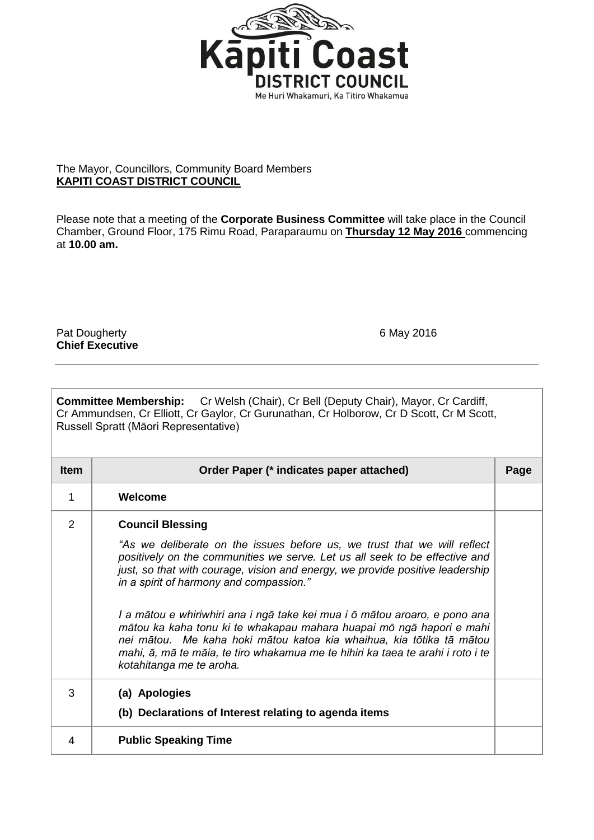

## The Mayor, Councillors, Community Board Members **KAPITI COAST DISTRICT COUNCIL**

Please note that a meeting of the **Corporate Business Committee** will take place in the Council Chamber, Ground Floor, 175 Rimu Road, Paraparaumu on **Thursday 12 May 2016** commencing at **10.00 am.**

Pat Dougherty **6 May 2016 Chief Executive**

| <b>Committee Membership:</b> Cr Welsh (Chair), Cr Bell (Deputy Chair), Mayor, Cr Cardiff,<br>Cr Ammundsen, Cr Elliott, Cr Gaylor, Cr Gurunathan, Cr Holborow, Cr D Scott, Cr M Scott,<br>Russell Spratt (Māori Representative) |                                                                                                                                                                                                                                                                                                                                           |      |  |
|--------------------------------------------------------------------------------------------------------------------------------------------------------------------------------------------------------------------------------|-------------------------------------------------------------------------------------------------------------------------------------------------------------------------------------------------------------------------------------------------------------------------------------------------------------------------------------------|------|--|
| <b>Item</b>                                                                                                                                                                                                                    | Order Paper (* indicates paper attached)                                                                                                                                                                                                                                                                                                  | Page |  |
| 1                                                                                                                                                                                                                              | Welcome                                                                                                                                                                                                                                                                                                                                   |      |  |
| $\overline{2}$                                                                                                                                                                                                                 | <b>Council Blessing</b>                                                                                                                                                                                                                                                                                                                   |      |  |
|                                                                                                                                                                                                                                | "As we deliberate on the issues before us, we trust that we will reflect<br>positively on the communities we serve. Let us all seek to be effective and<br>just, so that with courage, vision and energy, we provide positive leadership<br>in a spirit of harmony and compassion."                                                       |      |  |
|                                                                                                                                                                                                                                | I a mātou e whiriwhiri ana i ngā take kei mua i ō mātou aroaro, e pono ana<br>mātou ka kaha tonu ki te whakapau mahara huapai mō ngā hapori e mahi<br>nei mātou. Me kaha hoki mātou katoa kia whaihua, kia tōtika tā mātou<br>mahi, ā, mā te māia, te tiro whakamua me te hihiri ka taea te arahi i roto i te<br>kotahitanga me te aroha. |      |  |
| 3                                                                                                                                                                                                                              | (a) Apologies<br>(b) Declarations of Interest relating to agenda items                                                                                                                                                                                                                                                                    |      |  |
| 4                                                                                                                                                                                                                              | <b>Public Speaking Time</b>                                                                                                                                                                                                                                                                                                               |      |  |